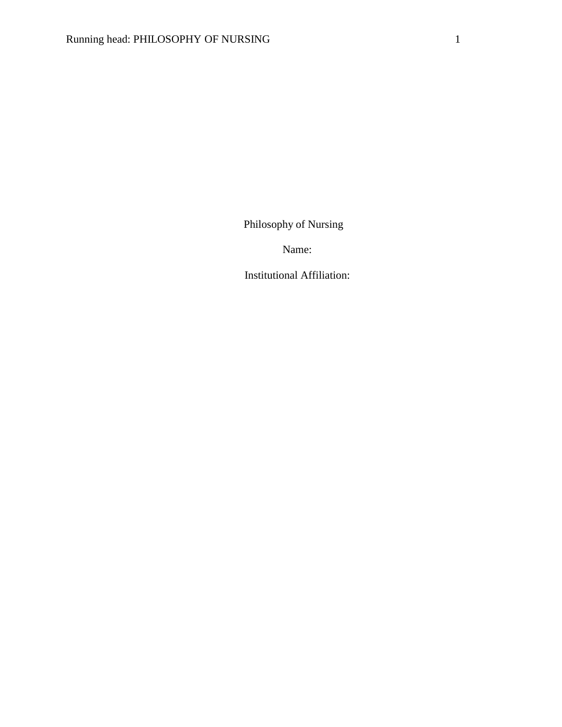Philosophy of Nursing

Name:

Institutional Affiliation: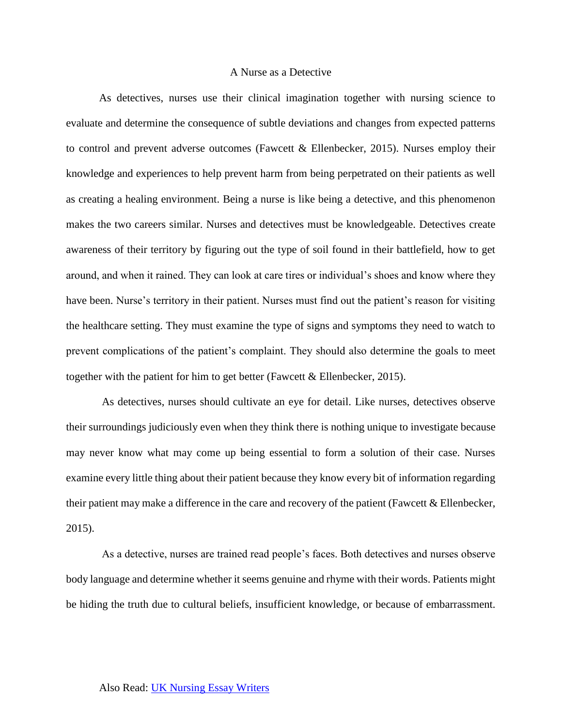### A Nurse as a Detective

As detectives, nurses use their clinical imagination together with nursing science to evaluate and determine the consequence of subtle deviations and changes from expected patterns to control and prevent adverse outcomes (Fawcett  $\&$  Ellenbecker, 2015). Nurses employ their knowledge and experiences to help prevent harm from being perpetrated on their patients as well as creating a healing environment. Being a nurse is like being a detective, and this phenomenon makes the two careers similar. Nurses and detectives must be knowledgeable. Detectives create awareness of their territory by figuring out the type of soil found in their battlefield, how to get around, and when it rained. They can look at care tires or individual's shoes and know where they have been. Nurse's territory in their patient. Nurses must find out the patient's reason for visiting the healthcare setting. They must examine the type of signs and symptoms they need to watch to prevent complications of the patient's complaint. They should also determine the goals to meet together with the patient for him to get better (Fawcett & Ellenbecker, 2015).

 As detectives, nurses should cultivate an eye for detail. Like nurses, detectives observe their surroundings judiciously even when they think there is nothing unique to investigate because may never know what may come up being essential to form a solution of their case. Nurses examine every little thing about their patient because they know every bit of information regarding their patient may make a difference in the care and recovery of the patient (Fawcett & Ellenbecker, 2015).

 As a detective, nurses are trained read people's faces. Both detectives and nurses observe body language and determine whether it seems genuine and rhyme with their words. Patients might be hiding the truth due to cultural beliefs, insufficient knowledge, or because of embarrassment.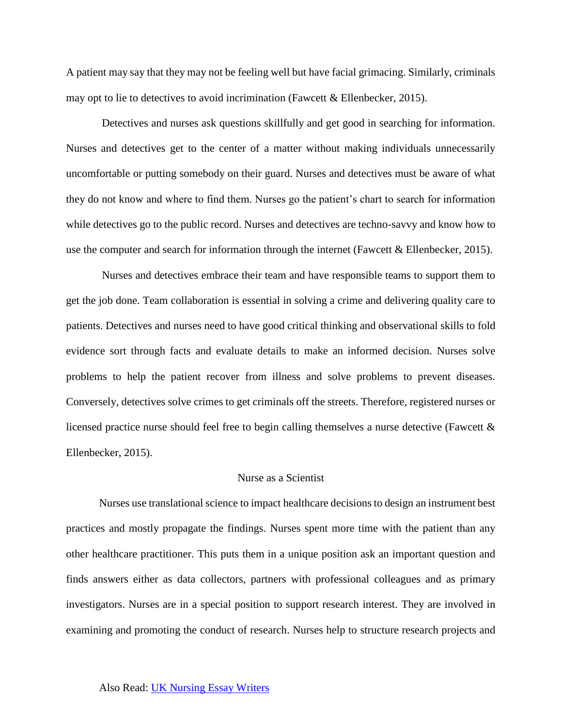A patient may say that they may not be feeling well but have facial grimacing. Similarly, criminals may opt to lie to detectives to avoid incrimination (Fawcett & Ellenbecker, 2015).

 Detectives and nurses ask questions skillfully and get good in searching for information. Nurses and detectives get to the center of a matter without making individuals unnecessarily uncomfortable or putting somebody on their guard. Nurses and detectives must be aware of what they do not know and where to find them. Nurses go the patient's chart to search for information while detectives go to the public record. Nurses and detectives are techno-savvy and know how to use the computer and search for information through the internet (Fawcett & Ellenbecker, 2015).

 Nurses and detectives embrace their team and have responsible teams to support them to get the job done. Team collaboration is essential in solving a crime and delivering quality care to patients. Detectives and nurses need to have good critical thinking and observational skills to fold evidence sort through facts and evaluate details to make an informed decision. Nurses solve problems to help the patient recover from illness and solve problems to prevent diseases. Conversely, detectives solve crimes to get criminals off the streets. Therefore, registered nurses or licensed practice nurse should feel free to begin calling themselves a nurse detective (Fawcett & Ellenbecker, 2015).

## Nurse as a Scientist

Nurses use translational science to impact healthcare decisions to design an instrument best practices and mostly propagate the findings. Nurses spent more time with the patient than any other healthcare practitioner. This puts them in a unique position ask an important question and finds answers either as data collectors, partners with professional colleagues and as primary investigators. Nurses are in a special position to support research interest. They are involved in examining and promoting the conduct of research. Nurses help to structure research projects and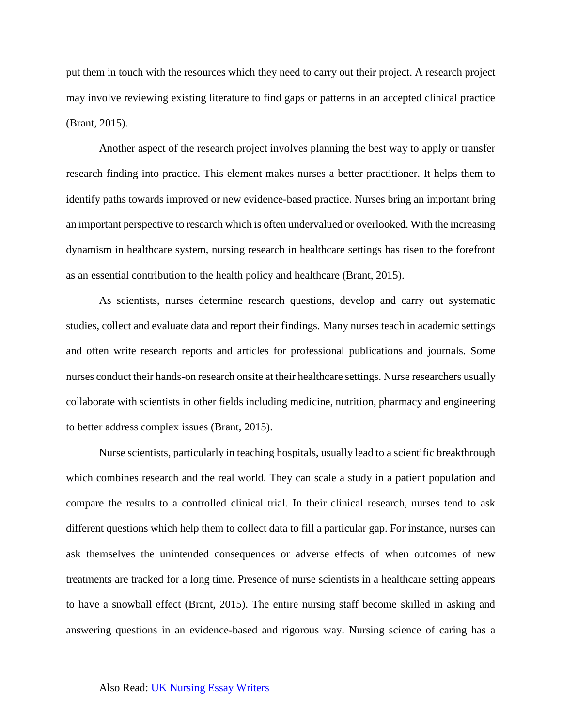put them in touch with the resources which they need to carry out their project. A research project may involve reviewing existing literature to find gaps or patterns in an accepted clinical practice (Brant, 2015).

Another aspect of the research project involves planning the best way to apply or transfer research finding into practice. This element makes nurses a better practitioner. It helps them to identify paths towards improved or new evidence-based practice. Nurses bring an important bring an important perspective to research which is often undervalued or overlooked. With the increasing dynamism in healthcare system, nursing research in healthcare settings has risen to the forefront as an essential contribution to the health policy and healthcare (Brant, 2015).

As scientists, nurses determine research questions, develop and carry out systematic studies, collect and evaluate data and report their findings. Many nurses teach in academic settings and often write research reports and articles for professional publications and journals. Some nurses conduct their hands-on research onsite at their healthcare settings. Nurse researchers usually collaborate with scientists in other fields including medicine, nutrition, pharmacy and engineering to better address complex issues (Brant, 2015).

Nurse scientists, particularly in teaching hospitals, usually lead to a scientific breakthrough which combines research and the real world. They can scale a study in a patient population and compare the results to a controlled clinical trial. In their clinical research, nurses tend to ask different questions which help them to collect data to fill a particular gap. For instance, nurses can ask themselves the unintended consequences or adverse effects of when outcomes of new treatments are tracked for a long time. Presence of nurse scientists in a healthcare setting appears to have a snowball effect (Brant, 2015). The entire nursing staff become skilled in asking and answering questions in an evidence-based and rigorous way. Nursing science of caring has a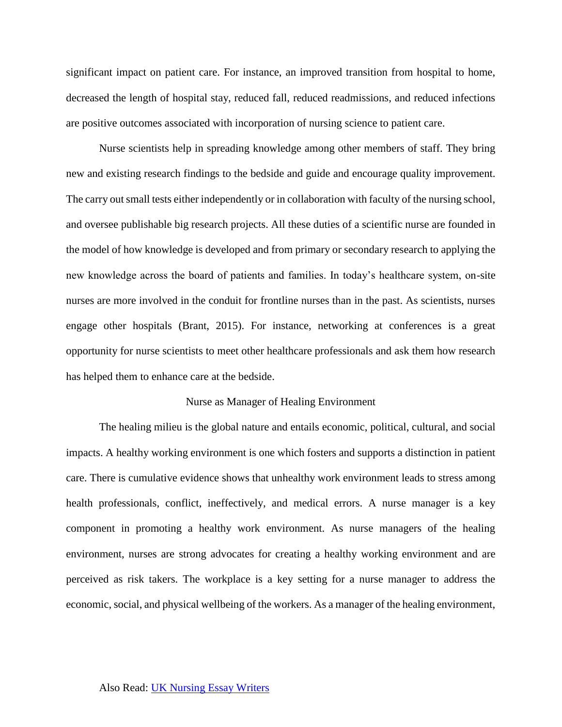significant impact on patient care. For instance, an improved transition from hospital to home, decreased the length of hospital stay, reduced fall, reduced readmissions, and reduced infections are positive outcomes associated with incorporation of nursing science to patient care.

Nurse scientists help in spreading knowledge among other members of staff. They bring new and existing research findings to the bedside and guide and encourage quality improvement. The carry out small tests either independently or in collaboration with faculty of the nursing school, and oversee publishable big research projects. All these duties of a scientific nurse are founded in the model of how knowledge is developed and from primary or secondary research to applying the new knowledge across the board of patients and families. In today's healthcare system, on-site nurses are more involved in the conduit for frontline nurses than in the past. As scientists, nurses engage other hospitals (Brant, 2015). For instance, networking at conferences is a great opportunity for nurse scientists to meet other healthcare professionals and ask them how research has helped them to enhance care at the bedside.

#### Nurse as Manager of Healing Environment

The healing milieu is the global nature and entails economic, political, cultural, and social impacts. A healthy working environment is one which fosters and supports a distinction in patient care. There is cumulative evidence shows that unhealthy work environment leads to stress among health professionals, conflict, ineffectively, and medical errors. A nurse manager is a key component in promoting a healthy work environment. As nurse managers of the healing environment, nurses are strong advocates for creating a healthy working environment and are perceived as risk takers. The workplace is a key setting for a nurse manager to address the economic, social, and physical wellbeing of the workers. As a manager of the healing environment,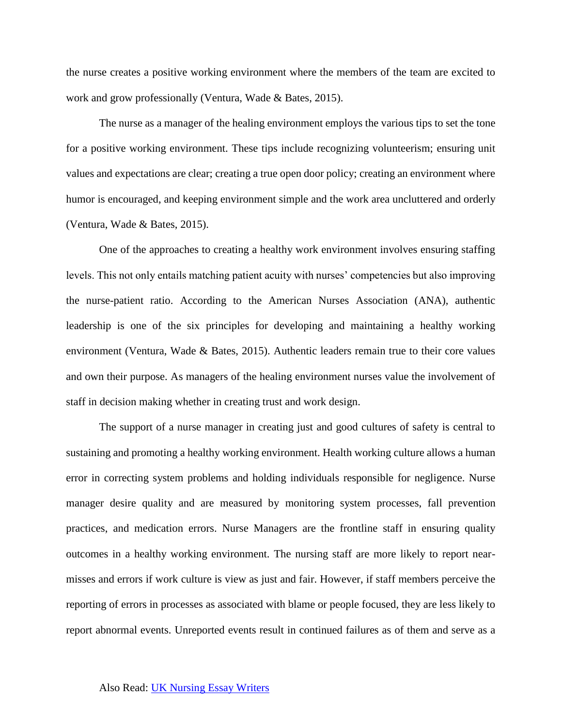the nurse creates a positive working environment where the members of the team are excited to work and grow professionally (Ventura, Wade & Bates, 2015).

The nurse as a manager of the healing environment employs the various tips to set the tone for a positive working environment. These tips include recognizing volunteerism; ensuring unit values and expectations are clear; creating a true open door policy; creating an environment where humor is encouraged, and keeping environment simple and the work area uncluttered and orderly (Ventura, Wade & Bates, 2015).

One of the approaches to creating a healthy work environment involves ensuring staffing levels. This not only entails matching patient acuity with nurses' competencies but also improving the nurse-patient ratio. According to the American Nurses Association (ANA), authentic leadership is one of the six principles for developing and maintaining a healthy working environment (Ventura, Wade & Bates, 2015). Authentic leaders remain true to their core values and own their purpose. As managers of the healing environment nurses value the involvement of staff in decision making whether in creating trust and work design.

The support of a nurse manager in creating just and good cultures of safety is central to sustaining and promoting a healthy working environment. Health working culture allows a human error in correcting system problems and holding individuals responsible for negligence. Nurse manager desire quality and are measured by monitoring system processes, fall prevention practices, and medication errors. Nurse Managers are the frontline staff in ensuring quality outcomes in a healthy working environment. The nursing staff are more likely to report nearmisses and errors if work culture is view as just and fair. However, if staff members perceive the reporting of errors in processes as associated with blame or people focused, they are less likely to report abnormal events. Unreported events result in continued failures as of them and serve as a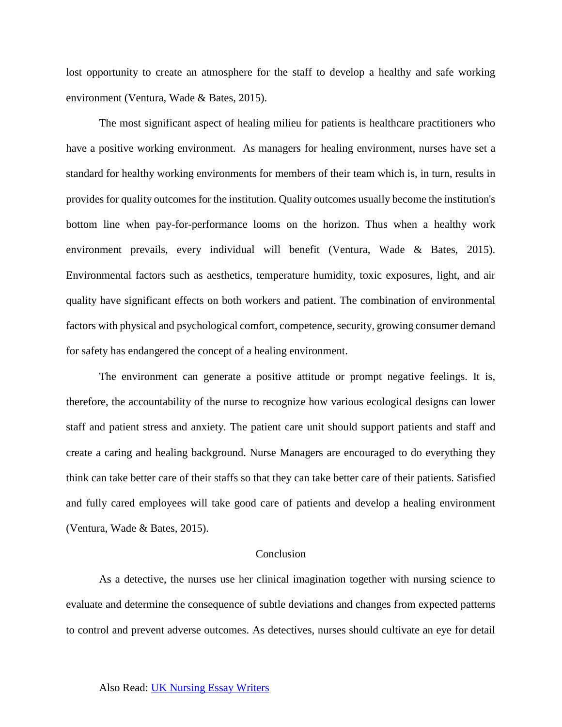lost opportunity to create an atmosphere for the staff to develop a healthy and safe working environment (Ventura, Wade & Bates, 2015).

The most significant aspect of healing milieu for patients is healthcare practitioners who have a positive working environment. As managers for healing environment, nurses have set a standard for healthy working environments for members of their team which is, in turn, results in provides for quality outcomes for the institution. Quality outcomes usually become the institution's bottom line when pay-for-performance looms on the horizon. Thus when a healthy work environment prevails, every individual will benefit (Ventura, Wade & Bates, 2015). Environmental factors such as aesthetics, temperature humidity, toxic exposures, light, and air quality have significant effects on both workers and patient. The combination of environmental factors with physical and psychological comfort, competence, security, growing consumer demand for safety has endangered the concept of a healing environment.

The environment can generate a positive attitude or prompt negative feelings. It is, therefore, the accountability of the nurse to recognize how various ecological designs can lower staff and patient stress and anxiety. The patient care unit should support patients and staff and create a caring and healing background. Nurse Managers are encouraged to do everything they think can take better care of their staffs so that they can take better care of their patients. Satisfied and fully cared employees will take good care of patients and develop a healing environment (Ventura, Wade & Bates, 2015).

## Conclusion

As a detective, the nurses use her clinical imagination together with nursing science to evaluate and determine the consequence of subtle deviations and changes from expected patterns to control and prevent adverse outcomes. As detectives, nurses should cultivate an eye for detail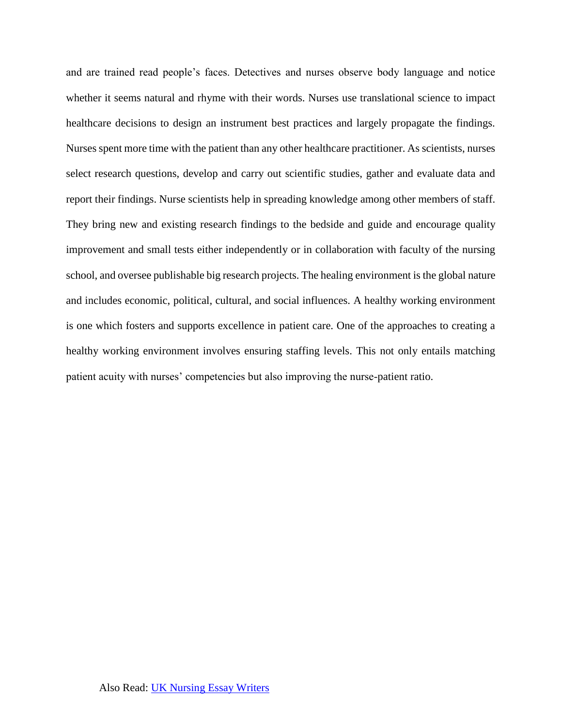and are trained read people's faces. Detectives and nurses observe body language and notice whether it seems natural and rhyme with their words. Nurses use translational science to impact healthcare decisions to design an instrument best practices and largely propagate the findings. Nurses spent more time with the patient than any other healthcare practitioner. As scientists, nurses select research questions, develop and carry out scientific studies, gather and evaluate data and report their findings. Nurse scientists help in spreading knowledge among other members of staff. They bring new and existing research findings to the bedside and guide and encourage quality improvement and small tests either independently or in collaboration with faculty of the nursing school, and oversee publishable big research projects. The healing environment is the global nature and includes economic, political, cultural, and social influences. A healthy working environment is one which fosters and supports excellence in patient care. One of the approaches to creating a healthy working environment involves ensuring staffing levels. This not only entails matching patient acuity with nurses' competencies but also improving the nurse-patient ratio.